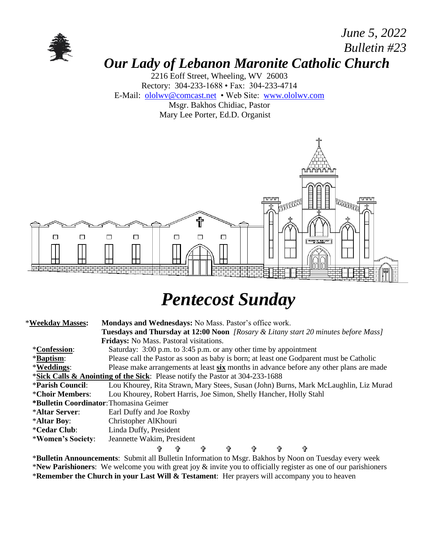

### *June 5, 2022 Bulletin #23 Our Lady of Lebanon Maronite Catholic Church*

2216 Eoff Street, Wheeling, WV 26003 Rectory: 304-233-1688 • Fax: 304-233-4714 E-Mail: [ololwv@comcast.net](mailto:ololwv@comcast.net) • Web Site: [www.ololwv.com](http://www.ololwv.com/) Msgr. Bakhos Chidiac, Pastor Mary Lee Porter, Ed.D. Organist



# *Pentecost Sunday*

| *Weekday Masses:                                                                         | Mondays and Wednesdays: No Mass. Pastor's office work.                                    |   |   |   |   |   |   |  |  |
|------------------------------------------------------------------------------------------|-------------------------------------------------------------------------------------------|---|---|---|---|---|---|--|--|
|                                                                                          | <b>Tuesdays and Thursday at 12:00 Noon</b> [Rosary & Litany start 20 minutes before Mass] |   |   |   |   |   |   |  |  |
|                                                                                          | Fridays: No Mass. Pastoral visitations.                                                   |   |   |   |   |   |   |  |  |
| <i>*Confession:</i>                                                                      | Saturday: 3:00 p.m. to 3:45 p.m. or any other time by appointment                         |   |   |   |   |   |   |  |  |
| *Baptism:                                                                                | Please call the Pastor as soon as baby is born; at least one Godparent must be Catholic   |   |   |   |   |   |   |  |  |
| *Weddings:                                                                               | Please make arrangements at least six months in advance before any other plans are made   |   |   |   |   |   |   |  |  |
| <b>*Sick Calls &amp; Anointing of the Sick:</b> Please notify the Pastor at 304-233-1688 |                                                                                           |   |   |   |   |   |   |  |  |
| <i><b>*Parish Council:</b></i>                                                           | Lou Khourey, Rita Strawn, Mary Stees, Susan (John) Burns, Mark McLaughlin, Liz Murad      |   |   |   |   |   |   |  |  |
| *Choir Members:                                                                          | Lou Khourey, Robert Harris, Joe Simon, Shelly Hancher, Holly Stahl                        |   |   |   |   |   |   |  |  |
|                                                                                          | *Bulletin Coordinator: Thomasina Geimer                                                   |   |   |   |   |   |   |  |  |
| *Altar Server:                                                                           | Earl Duffy and Joe Roxby                                                                  |   |   |   |   |   |   |  |  |
| *Altar Boy:                                                                              | Christopher AlKhouri                                                                      |   |   |   |   |   |   |  |  |
| <i><b>*Cedar Club:</b></i>                                                               | Linda Duffy, President                                                                    |   |   |   |   |   |   |  |  |
| *Women's Society:                                                                        | Jeannette Wakim, President                                                                |   |   |   |   |   |   |  |  |
|                                                                                          | ╬                                                                                         | 令 | Ϋ | 4 | ╬ | 令 | ⇧ |  |  |

\***Bulletin Announcements**: Submit all Bulletin Information to Msgr. Bakhos by Noon on Tuesday every week \***New Parishioners**: We welcome you with great joy & invite you to officially register as one of our parishioners \***Remember the Church in your Last Will & Testament**: Her prayers will accompany you to heaven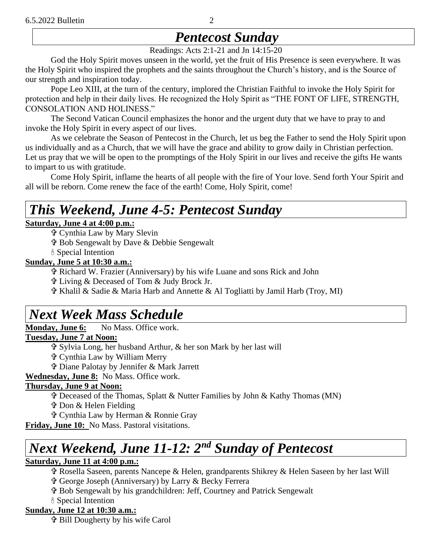# *Pentecost Sunday*

Readings: Acts 2:1-21 and Jn 14:15-20

God the Holy Spirit moves unseen in the world, yet the fruit of His Presence is seen everywhere. It was the Holy Spirit who inspired the prophets and the saints throughout the Church's history, and is the Source of our strength and inspiration today.

Pope Leo XIII, at the turn of the century, implored the Christian Faithful to invoke the Holy Spirit for protection and help in their daily lives. He recognized the Holy Spirit as "THE FONT OF LIFE, STRENGTH, CONSOLATION AND HOLINESS."

The Second Vatican Council emphasizes the honor and the urgent duty that we have to pray to and invoke the Holy Spirit in every aspect of our lives.

As we celebrate the Season of Pentecost in the Church, let us beg the Father to send the Holy Spirit upon us individually and as a Church, that we will have the grace and ability to grow daily in Christian perfection. Let us pray that we will be open to the promptings of the Holy Spirit in our lives and receive the gifts He wants to impart to us with gratitude.

Come Holy Spirit, inflame the hearts of all people with the fire of Your love. Send forth Your Spirit and all will be reborn. Come renew the face of the earth! Come, Holy Spirit, come!

# *This Weekend, June 4-5: Pentecost Sunday*

#### **Saturday, June 4 at 4:00 p.m.:**

Cynthia Law by Mary Slevin

Bob Sengewalt by Dave & Debbie Sengewalt

Special Intention

#### **Sunday, June 5 at 10:30 a.m.:**

Richard W. Frazier (Anniversary) by his wife Luane and sons Rick and John

Living & Deceased of Tom & Judy Brock Jr.

Khalil & Sadie & Maria Harb and Annette & Al Togliatti by Jamil Harb (Troy, MI)

# *Next Week Mass Schedule*

**Monday, June 6:** No Mass, Office work.

#### **Tuesday, June 7 at Noon:**

- Sylvia Long, her husband Arthur, & her son Mark by her last will
- Cynthia Law by William Merry
- Diane Palotay by Jennifer & Mark Jarrett

**Wednesday, June 8:** No Mass. Office work.

#### **Thursday, June 9 at Noon:**

Deceased of the Thomas, Splatt & Nutter Families by John & Kathy Thomas (MN)

Don & Helen Fielding

Cynthia Law by Herman & Ronnie Gray

**Friday, June 10:** No Mass. Pastoral visitations.

# *Next Weekend, June 11-12: 2 nd Sunday of Pentecost*

#### **Saturday, June 11 at 4:00 p.m.:**

Rosella Saseen, parents Nancepe & Helen, grandparents Shikrey & Helen Saseen by her last Will

George Joseph (Anniversary) by Larry & Becky Ferrera

- Bob Sengewalt by his grandchildren: Jeff, Courtney and Patrick Sengewalt
- Special Intention

#### **Sunday, June 12 at 10:30 a.m.:**

Bill Dougherty by his wife Carol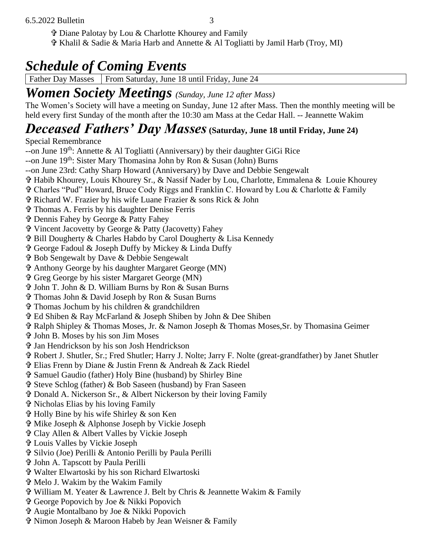- Diane Palotay by Lou & Charlotte Khourey and Family
- Khalil & Sadie & Maria Harb and Annette & Al Togliatti by Jamil Harb (Troy, MI)

# *Schedule of Coming Events*

Father Day Masses | From Saturday, June 18 until Friday, June 24

### *Women Society Meetings (Sunday, June 12 after Mass)*

The Women's Society will have a meeting on Sunday, June 12 after Mass. Then the monthly meeting will be held every first Sunday of the month after the 10:30 am Mass at the Cedar Hall. -- Jeannette Wakim

# *Deceased Fathers' Day Masses***(Saturday, June 18 until Friday, June 24)**

Special Remembrance

- --on June  $19^{th}$ : Annette & Al Togliatti (Anniversary) by their daughter GiGi Rice
- --on June  $19^{th}$ : Sister Mary Thomasina John by Ron & Susan (John) Burns
- --on June 23rd: Cathy Sharp Howard (Anniversary) by Dave and Debbie Sengewalt
- Habib Khourey, Louis Khourey Sr., & Nassif Nader by Lou, Charlotte, Emmalena & Louie Khourey
- Charles "Pud" Howard, Bruce Cody Riggs and Franklin C. Howard by Lou & Charlotte & Family
- Richard W. Frazier by his wife Luane Frazier & sons Rick & John
- Thomas A. Ferris by his daughter Denise Ferris
- Dennis Fahey by George & Patty Fahey
- Vincent Jacovetty by George & Patty (Jacovetty) Fahey
- Bill Dougherty & Charles Habdo by Carol Dougherty & Lisa Kennedy
- George Fadoul & Joseph Duffy by Mickey & Linda Duffy
- Bob Sengewalt by Dave & Debbie Sengewalt
- Anthony George by his daughter Margaret George (MN)
- Greg George by his sister Margaret George (MN)
- John T. John & D. William Burns by Ron & Susan Burns
- Thomas John & David Joseph by Ron & Susan Burns
- $\hat{\mathbf{\Phi}}$  Thomas Jochum by his children & grandchildren
- Ed Shiben & Ray McFarland & Joseph Shiben by John & Dee Shiben
- Ralph Shipley & Thomas Moses, Jr. & Namon Joseph & Thomas Moses,Sr. by Thomasina Geimer
- John B. Moses by his son Jim Moses
- Jan Hendrickson by his son Josh Hendrickson
- Robert J. Shutler, Sr.; Fred Shutler; Harry J. Nolte; Jarry F. Nolte (great-grandfather) by Janet Shutler
- Elias Frenn by Diane & Justin Frenn & Andreah & Zack Riedel
- Samuel Gaudio (father) Holy Bine (husband) by Shirley Bine
- Steve Schlog (father) & Bob Saseen (husband) by Fran Saseen
- Donald A. Nickerson Sr., & Albert Nickerson by their loving Family
- Nicholas Elias by his loving Family
- Holly Bine by his wife Shirley & son Ken
- Mike Joseph & Alphonse Joseph by Vickie Joseph
- Clay Allen & Albert Valles by Vickie Joseph
- Louis Valles by Vickie Joseph
- Silvio (Joe) Perilli & Antonio Perilli by Paula Perilli
- John A. Tapscott by Paula Perilli
- Walter Elwartoski by his son Richard Elwartoski
- Melo J. Wakim by the Wakim Family
- William M. Yeater & Lawrence J. Belt by Chris & Jeannette Wakim & Family
- George Popovich by Joe & Nikki Popovich
- Augie Montalbano by Joe & Nikki Popovich
- Nimon Joseph & Maroon Habeb by Jean Weisner & Family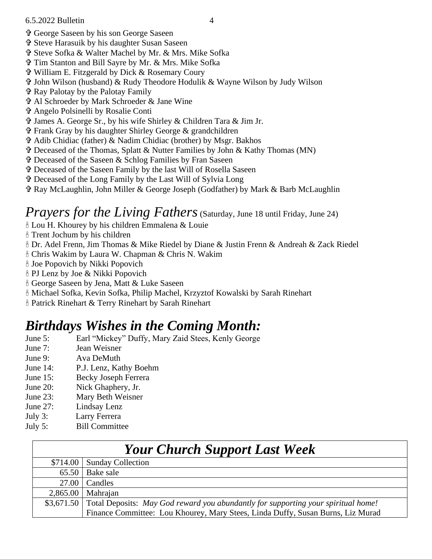- George Saseen by his son George Saseen
- Steve Harasuik by his daughter Susan Saseen
- Steve Sofka & Walter Machel by Mr. & Mrs. Mike Sofka
- Tim Stanton and Bill Sayre by Mr. & Mrs. Mike Sofka
- William E. Fitzgerald by Dick & Rosemary Coury
- John Wilson (husband) & Rudy Theodore Hodulik & Wayne Wilson by Judy Wilson
- Ray Palotay by the Palotay Family
- Al Schroeder by Mark Schroeder & Jane Wine
- Angelo Polsinelli by Rosalie Conti
- James A. George Sr., by his wife Shirley & Children Tara & Jim Jr.
- Frank Gray by his daughter Shirley George & grandchildren
- Adib Chidiac (father) & Nadim Chidiac (brother) by Msgr. Bakhos
- Deceased of the Thomas, Splatt & Nutter Families by John & Kathy Thomas (MN)
- Deceased of the Saseen & Schlog Families by Fran Saseen
- Deceased of the Saseen Family by the last Will of Rosella Saseen
- Deceased of the Long Family by the Last Will of Sylvia Long
- Ray McLaughlin, John Miller & George Joseph (Godfather) by Mark & Barb McLaughlin

#### *Prayers for the Living Fathers* (Saturday, June 18 until Friday, June 24)

- Lou H. Khourey by his children Emmalena & Louie
- Trent Jochum by his children
- Dr. Adel Frenn, Jim Thomas & Mike Riedel by Diane & Justin Frenn & Andreah & Zack Riedel
- Chris Wakim by Laura W. Chapman & Chris N. Wakim
- Joe Popovich by Nikki Popovich
- PJ Lenz by Joe & Nikki Popovich
- George Saseen by Jena, Matt & Luke Saseen
- Michael Sofka, Kevin Sofka, Philip Machel, Krzyztof Kowalski by Sarah Rinehart
- Patrick Rinehart & Terry Rinehart by Sarah Rinehart

### *Birthdays Wishes in the Coming Month:*

- June 5: Earl "Mickey" Duffy, Mary Zaid Stees, Kenly George
- June 7: Jean Weisner
- June 9: Ava DeMuth
- June 14: P.J. Lenz, Kathy Boehm
- June 15: Becky Joseph Ferrera
- June 20: Nick Ghaphery, Jr.
- June 23: Mary Beth Weisner
- June 27: Lindsay Lenz
- July 3: Larry Ferrera
- July 5: Bill Committee

| <b>Your Church Support Last Week</b> |                                                                                              |  |  |  |
|--------------------------------------|----------------------------------------------------------------------------------------------|--|--|--|
|                                      | \$714.00   Sunday Collection                                                                 |  |  |  |
| 65.50                                | Bake sale                                                                                    |  |  |  |
|                                      | $27.00$ Candles                                                                              |  |  |  |
|                                      | $2,865.00$ Mahrajan                                                                          |  |  |  |
|                                      | \$3,671.50 Total Deposits: May God reward you abundantly for supporting your spiritual home! |  |  |  |
|                                      | Finance Committee: Lou Khourey, Mary Stees, Linda Duffy, Susan Burns, Liz Murad              |  |  |  |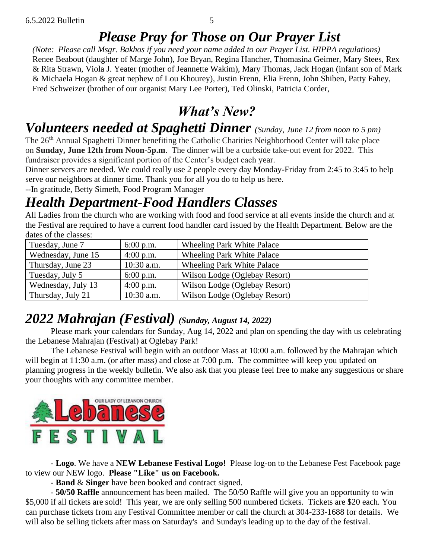### *Please Pray for Those on Our Prayer List*

*(Note: Please call Msgr. Bakhos if you need your name added to our Prayer List. HIPPA regulations)* Renee Beabout (daughter of Marge John), Joe Bryan, Regina Hancher, Thomasina Geimer, Mary Stees, Rex & Rita Strawn, Viola J. Yeater (mother of Jeannette Wakim), Mary Thomas, Jack Hogan (infant son of Mark & Michaela Hogan & great nephew of Lou Khourey), Justin Frenn, Elia Frenn, John Shiben, Patty Fahey, Fred Schweizer (brother of our organist Mary Lee Porter), Ted Olinski, Patricia Corder,

### *What's New?*

### *Volunteers needed at Spaghetti Dinner (Sunday, June 12 from noon to 5 pm)*

The 26th Annual Spaghetti Dinner benefiting the Catholic Charities Neighborhood Center will take place on **Sunday, June 12th from Noon-5p.m**. The dinner will be a curbside take-out event for 2022. This fundraiser provides a significant portion of the Center's budget each year.

Dinner servers are needed. We could really use 2 people every day Monday-Friday from 2:45 to 3:45 to help serve our neighbors at dinner time. Thank you for all you do to help us here.

--In gratitude, Betty Simeth, Food Program Manager

# *Health Department-Food Handlers Classes*

All Ladies from the church who are working with food and food service at all events inside the church and at the Festival are required to have a current food handler card issued by the Health Department. Below are the dates of the classes:

| Tuesday, June 7    | $6:00$ p.m.  | <b>Wheeling Park White Palace</b> |
|--------------------|--------------|-----------------------------------|
| Wednesday, June 15 | $4:00$ p.m.  | <b>Wheeling Park White Palace</b> |
| Thursday, June 23  | $10:30$ a.m. | <b>Wheeling Park White Palace</b> |
| Tuesday, July 5    | $6:00$ p.m.  | Wilson Lodge (Oglebay Resort)     |
| Wednesday, July 13 | $4:00$ p.m.  | Wilson Lodge (Oglebay Resort)     |
| Thursday, July 21  | $10:30$ a.m. | Wilson Lodge (Oglebay Resort)     |

### *2022 Mahrajan (Festival) (Sunday, August 14, 2022)*

Please mark your calendars for Sunday, Aug 14, 2022 and plan on spending the day with us celebrating the Lebanese Mahrajan (Festival) at Oglebay Park!

The Lebanese Festival will begin with an outdoor Mass at 10:00 a.m. followed by the Mahrajan which will begin at 11:30 a.m. (or after mass) and close at 7:00 p.m. The committee will keep you updated on planning progress in the weekly bulletin. We also ask that you please feel free to make any suggestions or share your thoughts with any committee member.



- **Logo**. We have a **NEW Lebanese Festival Logo!** Please log-on to the Lebanese Fest Facebook page to view our NEW logo. **Please "Like" us on Facebook.**

- **Band** & **Singer** have been booked and contract signed.

- **50/50 Raffle** announcement has been mailed. The 50/50 Raffle will give you an opportunity to win \$5,000 if all tickets are sold! This year, we are only selling 500 numbered tickets. Tickets are \$20 each. You can purchase tickets from any Festival Committee member or call the church at 304-233-1688 for details. We will also be selling tickets after mass on Saturday's and Sunday's leading up to the day of the festival.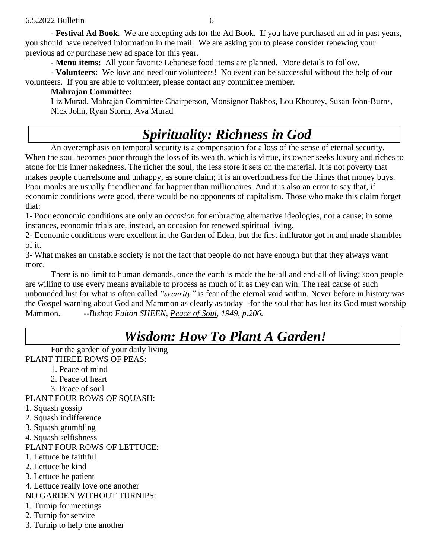- **Festival Ad Book**. We are accepting ads for the Ad Book. If you have purchased an ad in past years, you should have received information in the mail. We are asking you to please consider renewing your previous ad or purchase new ad space for this year.

- **Menu items:** All your favorite Lebanese food items are planned. More details to follow.

- **Volunteers:** We love and need our volunteers! No event can be successful without the help of our volunteers. If you are able to volunteer, please contact any committee member.

#### **Mahrajan Committee:**

Liz Murad, Mahrajan Committee Chairperson, Monsignor Bakhos, Lou Khourey, Susan John-Burns, Nick John, Ryan Storm, Ava Murad

# *Spirituality: Richness in God*

An overemphasis on temporal security is a compensation for a loss of the sense of eternal security. When the soul becomes poor through the loss of its wealth, which is virtue, its owner seeks luxury and riches to atone for his inner nakedness. The richer the soul, the less store it sets on the material. It is not poverty that makes people quarrelsome and unhappy, as some claim; it is an overfondness for the things that money buys. Poor monks are usually friendlier and far happier than millionaires. And it is also an error to say that, if economic conditions were good, there would be no opponents of capitalism. Those who make this claim forget that:

1- Poor economic conditions are only an *occasion* for embracing alternative ideologies, not a cause; in some instances, economic trials are, instead, an occasion for renewed spiritual living.

2- Economic conditions were excellent in the Garden of Eden, but the first infiltrator got in and made shambles of it.

3- What makes an unstable society is not the fact that people do not have enough but that they always want more.

There is no limit to human demands, once the earth is made the be-all and end-all of living; soon people are willing to use every means available to process as much of it as they can win. The real cause of such unbounded lust for what is often called *"security"* is fear of the eternal void within. Never before in history was the Gospel warning about God and Mammon as clearly as today -for the soul that has lost its God must worship Mammon. --*Bishop Fulton SHEEN, Peace of Soul, 1949, p.206.*

### *Wisdom: How To Plant A Garden!*

For the garden of your daily living PLANT THREE ROWS OF PEAS:

- 1. Peace of mind
- 2. Peace of heart
- 3. Peace of soul

PLANT FOUR ROWS OF SQUASH:

- 1. Squash gossip
- 2. Squash indifference
- 3. Squash grumbling
- 4. Squash selfishness

#### PLANT FOUR ROWS OF LETTUCE:

- 1. Lettuce be faithful
- 2. Lettuce be kind
- 3. Lettuce be patient
- 4. Lettuce really love one another

NO GARDEN WITHOUT TURNIPS:

- 1. Turnip for meetings
- 2. Turnip for service
- 3. Turnip to help one another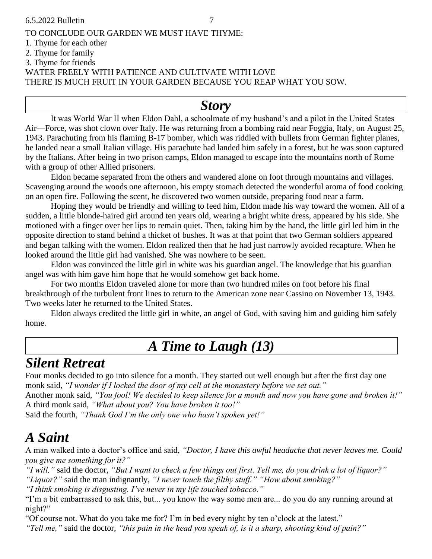#### TO CONCLUDE OUR GARDEN WE MUST HAVE THYME: 1. Thyme for each other 2. Thyme for family 3. Thyme for friends WATER FREELY WITH PATIENCE AND CULTIVATE WITH LOVE

THERE IS MUCH FRUIT IN YOUR GARDEN BECAUSE YOU REAP WHAT YOU SOW.

#### *Story*

It was World War II when Eldon Dahl, a schoolmate of my husband's and a pilot in the United States Air—Force, was shot clown over Italy. He was returning from a bombing raid near Foggia, Italy, on August 25, 1943. Parachuting from his flaming B-17 bomber, which was riddled with bullets from German fighter planes, he landed near a small Italian village. His parachute had landed him safely in a forest, but he was soon captured by the Italians. After being in two prison camps, Eldon managed to escape into the mountains north of Rome with a group of other Allied prisoners.

Eldon became separated from the others and wandered alone on foot through mountains and villages. Scavenging around the woods one afternoon, his empty stomach detected the wonderful aroma of food cooking on an open fire. Following the scent, he discovered two women outside, preparing food near a farm.

Hoping they would be friendly and willing to feed him, Eldon made his way toward the women. All of a sudden, a little blonde-haired girl around ten years old, wearing a bright white dress, appeared by his side. She motioned with a finger over her lips to remain quiet. Then, taking him by the hand, the little girl led him in the opposite direction to stand behind a thicket of bushes. It was at that point that two German soldiers appeared and began talking with the women. Eldon realized then that he had just narrowly avoided recapture. When he looked around the little girl had vanished. She was nowhere to be seen.

Eldon was convinced the little girl in white was his guardian angel. The knowledge that his guardian angel was with him gave him hope that he would somehow get back home.

For two months Eldon traveled alone for more than two hundred miles on foot before his final breakthrough of the turbulent front lines to return to the American zone near Cassino on November 13, 1943. Two weeks later he returned to the United States.

Eldon always credited the little girl in white, an angel of God, with saving him and guiding him safely home.

### *A Time to Laugh (13)*

### *Silent Retreat*

Four monks decided to go into silence for a month. They started out well enough but after the first day one monk said, *"I wonder if I locked the door of my cell at the monastery before we set out."*

Another monk said, *"You fool! We decided to keep silence for a month and now you have gone and broken it!"* A third monk said, *"What about you? You have broken it too!"*

Said the fourth, *"Thank God I'm the only one who hasn't spoken yet!"*

### *A Saint*

A man walked into a doctor's office and said, *"Doctor, I have this awful headache that never leaves me. Could you give me something for it?"*

*"I will,"* said the doctor, *"But I want to check a few things out first. Tell me, do you drink a lot of liquor?" "Liquor?"* said the man indignantly, *"I never touch the filthy stuff." "How about smoking?"*

*"I think smoking is disgusting. I've never in my life touched tobacco."*

"I'm a bit embarrassed to ask this, but... you know the way some men are... do you do any running around at night?"

"Of course not. What do you take me for? I'm in bed every night by ten o'clock at the latest."

*"Tell me,"* said the doctor, *"this pain in the head you speak of, is it a sharp, shooting kind of pain?"*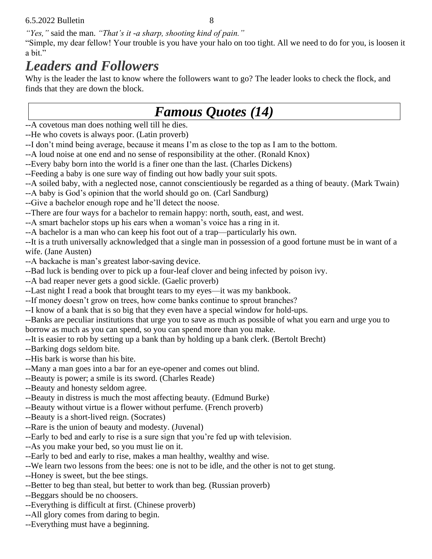*"Yes,"* said the man. *"That's it -a sharp, shooting kind of pain."*

"Simple, my dear fellow! Your trouble is you have your halo on too tight. All we need to do for you, is loosen it a bit."

### *Leaders and Followers*

Why is the leader the last to know where the followers want to go? The leader looks to check the flock, and finds that they are down the block.

### *Famous Quotes (14)*

--A covetous man does nothing well till he dies.

--He who covets is always poor. (Latin proverb)

--I don't mind being average, because it means I'm as close to the top as I am to the bottom.

--A loud noise at one end and no sense of responsibility at the other. (Ronald Knox)

--Every baby born into the world is a finer one than the last. (Charles Dickens)

--Feeding a baby is one sure way of finding out how badly your suit spots.

--A soiled baby, with a neglected nose, cannot conscientiously be regarded as a thing of beauty. (Mark Twain)

--A baby is God's opinion that the world should go on. (Carl Sandburg)

--Give a bachelor enough rope and he'll detect the noose.

--There are four ways for a bachelor to remain happy: north, south, east, and west.

--A smart bachelor stops up his ears when a woman's voice has a ring in it.

--A bachelor is a man who can keep his foot out of a trap—particularly his own.

--It is a truth universally acknowledged that a single man in possession of a good fortune must be in want of a wife. (Jane Austen)

--A backache is man's greatest labor-saving device.

--Bad luck is bending over to pick up a four-leaf clover and being infected by poison ivy.

--A bad reaper never gets a good sickle. (Gaelic proverb)

--Last night I read a book that brought tears to my eyes—it was my bankbook.

--If money doesn't grow on trees, how come banks continue to sprout branches?

--I know of a bank that is so big that they even have a special window for hold-ups.

--Banks are peculiar institutions that urge you to save as much as possible of what you earn and urge you to borrow as much as you can spend, so you can spend more than you make.

--It is easier to rob by setting up a bank than by holding up a bank clerk. (Bertolt Brecht)

--Barking dogs seldom bite.

--His bark is worse than his bite.

--Many a man goes into a bar for an eye-opener and comes out blind.

--Beauty is power; a smile is its sword. (Charles Reade)

--Beauty and honesty seldom agree.

--Beauty in distress is much the most affecting beauty. (Edmund Burke)

--Beauty without virtue is a flower without perfume. (French proverb)

--Beauty is a short-lived reign. (Socrates)

--Rare is the union of beauty and modesty. (Juvenal)

--Early to bed and early to rise is a sure sign that you're fed up with television.

--As you make your bed, so you must lie on it.

--Early to bed and early to rise, makes a man healthy, wealthy and wise.

--We learn two lessons from the bees: one is not to be idle, and the other is not to get stung.

--Honey is sweet, but the bee stings.

--Better to beg than steal, but better to work than beg. (Russian proverb)

--Beggars should be no choosers.

--Everything is difficult at first. (Chinese proverb)

--All glory comes from daring to begin.

--Everything must have a beginning.